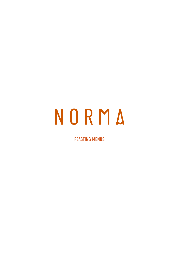# NORMA

FEASTING MENUS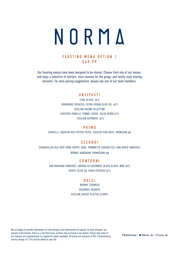

# FEASTING MENU OPTION 1 £60 PP

Our feasting menus have been designed to be shared. Choose from one of our menus, and enjoy a selection of starters, main courses for the group, and family-style sharing desserts. For wine pairing suggestions, please ask one of our team members.

# ANTIPASTI

ETNA OLIVES (v\*) HOMEMADE FOCACCIA, EXTRA VIRGIN OLIVE OIL (v\*) SICILIAN SALUMI SELECTION CHICKPEA PANELLE, FENNEL SEEDS, SALSA VERDE (v\*) SICILIAN CAPONATA (v\*)

PRIMO CAVATELLI, ROASTED RED PEPPER PESTO, TOASTED PINE NUTS, PARMESAN (v)

## **SECONDI**

CHARGRILLED OLD SPOT PORK CHOPS, SAGE, TROMBETTA COURGETTES, SUN-DRIED TOMATOES 'NORMA' AUBERGINE PARMIGIANA (v)

#### CONTORNI

SAN MARZANO TOMATOES, CAROSELLO CUCUMBER, BLACK OLIVES, MINT (v\*) CRISPY, OLIVE OIL-FRIED POTATOES (v\*)

#### DOLCI

'NORMA' TIRAMISU SEASONAL GRANITA SICILIAN CHEESE PLATTER (£10PP)

We are happy to provide information on food allergies and intolerances on request. As food allergens are present in the kitchen, there is a risk that traces of these may be found in our dishes. Please note some of our cheeses are unpasteurised. (v) vegetarian option available. All prices are inclusive of VAT. A discretionary service charge of 12.5% will be added to your bill.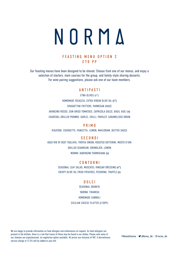# NORMA

# FEASTING MENU OPTION 2 £70 PP

Our feasting menus have been designed to be shared. Choose from one of our menus, and enjoy a selection of starters, main courses for the group, and family-style sharing desserts. For wine pairing suggestions, please ask one of our team members.

## ANTIPASTI

ETNA OLIVES (v\*) HOMEMADE FOCACCIA, EXTRA VIRGIN OLIVE OIL (v\*) SPAGHETTINI FRITTERS, PARMESAN SAUCE ARANCINO ROSSO, SUN-DRIED TOMATOES, CAPRIZOLA DOLCE, BASIL AIOLI (v) CHARCOAL-GRILLED PRAWNS, GARLIC, CHILLI, PARSLEY, CARAMELISED ONION

PRIMO

RIGATONI, COURGETTE, PANCETTA, LEMON, MARJORAM, BUTTER SAUCE

#### **SECONDI**

AGED RIB OF BEEF TAGLIATA, TROPEA ONION, ROASTED DATTERINI, MOSTO D'UVA GRILLED SEABREAM, GREMOLATA, LEMON 'NORMA' AUBERGINE PARMIGIANA (v)

#### CONTORNI

SEASONAL LEAF SALAD, MUSCATEL VINEGAR DRESSING (v\*) CRISPY OLIVE OIL FRIED POTATOES, PECORINO, TRUFFLE (v)

#### DOLCI

SEASONAL GRANITA 'NORMA' TIRAMISU HOMEMADE CANNOLI SICILIAN CHEESE PLATTER (£10PP)

We are happy to provide information on food allergies and intolerances on request. As food allergens are present in the kitchen, there is a risk that traces of these may be found in our dishes. Please note some of our cheeses are unpasteurised. (v) vegetarian option available. All prices are inclusive of VAT. A discretionary service charge of 12.5% will be added to your bill.